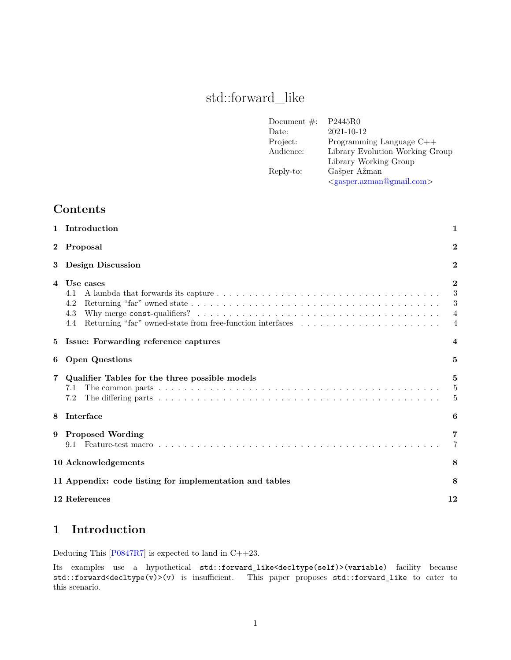# std::forward\_like

| Document $\#$ : | P2445R0                           |
|-----------------|-----------------------------------|
| Date:           | 2021-10-12                        |
| Project:        | Programming Language $C++$        |
| Audience:       | Library Evolution Working Group   |
|                 | Library Working Group             |
| Reply-to:       | Gašper Ažman                      |
|                 | $\langle$ gasper.azman@gmail.com> |

# **Contents**

|                | 1 Introduction                                                                                     |                                                        |  |  |  |  |
|----------------|----------------------------------------------------------------------------------------------------|--------------------------------------------------------|--|--|--|--|
| $\bf{2}$       | Proposal                                                                                           |                                                        |  |  |  |  |
| 3              | <b>Design Discussion</b><br>$\overline{2}$                                                         |                                                        |  |  |  |  |
| $\overline{4}$ | Use cases<br>4.1<br>4.2<br>4.3<br>Returning "far" owned-state from free-function interfaces<br>4.4 | $\bf{2}$<br>3<br>3<br>$\overline{4}$<br>$\overline{4}$ |  |  |  |  |
| 5              | Issue: Forwarding reference captures                                                               |                                                        |  |  |  |  |
| 6              | <b>Open Questions</b><br>5                                                                         |                                                        |  |  |  |  |
|                | Qualifier Tables for the three possible models<br>7.1<br>7.2                                       | 5<br>$\overline{5}$<br>5                               |  |  |  |  |
| 8              | Interface                                                                                          | 6                                                      |  |  |  |  |
| 9              | <b>Proposed Wording</b><br>9.1                                                                     | $\overline{7}$                                         |  |  |  |  |
|                | 10 Acknowledgements                                                                                | 8                                                      |  |  |  |  |
|                | 11 Appendix: code listing for implementation and tables                                            | 8                                                      |  |  |  |  |
|                | 12 References                                                                                      | 12                                                     |  |  |  |  |

# <span id="page-0-0"></span>**1 Introduction**

Deducing This [\[P0847R7](#page-11-1)] is expected to land in C++23.

Its examples use a hypothetical std::forward\_like<decltype(self)>(variable) facility because std::forward<decltype(v)>(v) is insufficient. This paper proposes std::forward\_like to cater to this scenario.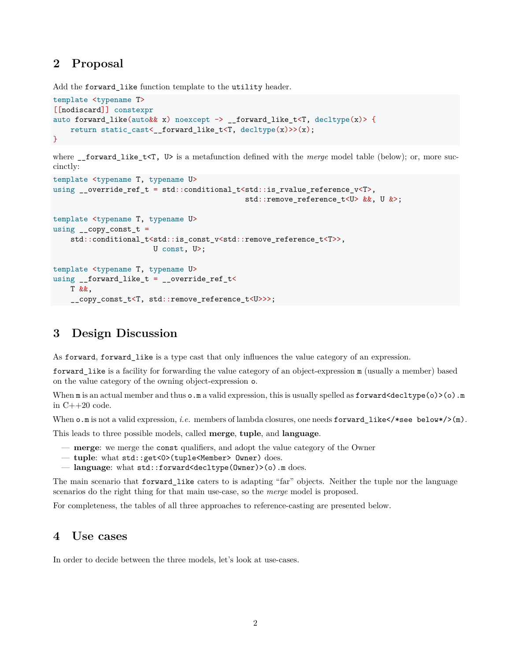# <span id="page-1-0"></span>**2 Proposal**

Add the forward\_like function template to the utility header.

```
template <typename T>
[[nodiscard]] constexpr
auto forward_like(auto&& x) noexcept \rightarrow __forward_like_t<T, decltype(x)> {
    return static_cast<__forward_like_t<T, decltype(x)>>(x);
}
```
where \_\_forward\_like\_t<T, U> is a metafunction defined with the *merge* model table (below); or, more succinctly:

```
template <typename T, typename U>
using __override_ref_t = std::conditional_t<std::is_rvalue_reference_v<T>,
                                            std::remove reference t<U> &&, U &>;
template <typename T, typename U>
using _{-}copy_const_t =
   std::conditional_t<std::is_const_v<std::remove_reference_t<T>>,
                       U const, U>;
template <typename T, typename U>
using __forward_like_t = __override_ref_t<
   T &&,
    __copy_const_t<T, std::remove_reference_t<U>>>;
```
# <span id="page-1-1"></span>**3 Design Discussion**

As forward, forward\_like is a type cast that only influences the value category of an expression.

forward\_like is a facility for forwarding the value category of an object-expression m (usually a member) based on the value category of the owning object-expression o.

When  $m$  is an actual member and thus  $o \cdot m$  a valid expression, this is usually spelled as  $forward \leq \text{dettype}(o) \geq o \cdot m$ in C++20 code.

When  $\circ$  m is not a valid expression, *i.e.* members of lambda closures, one needs forward\_like</\*see below\*/>(m).

This leads to three possible models, called **merge**, **tuple**, and **language**.

- **merge**: we merge the const qualifiers, and adopt the value category of the Owner
- **tuple**: what std::get<0>(tuple<Member> Owner) does.
- **language**: what std::forward<decltype(Owner)>(o).m does.

The main scenario that forward\_like caters to is adapting "far" objects. Neither the tuple nor the language scenarios do the right thing for that main use-case, so the *merge* model is proposed.

For completeness, the tables of all three approaches to reference-casting are presented below.

### <span id="page-1-2"></span>**4 Use cases**

In order to decide between the three models, let's look at use-cases.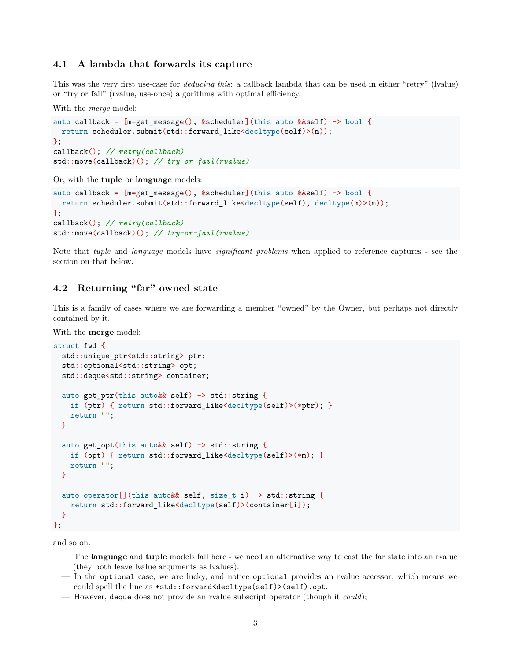#### <span id="page-2-0"></span>**4.1 A lambda that forwards its capture**

This was the very first use-case for *deducing this*: a callback lambda that can be used in either "retry" (lvalue) or "try or fail" (rvalue, use-once) algorithms with optimal efficiency.

With the *merge* model:

```
auto callback = [m=get\_message(), &scheduler](this auto &&self) -> bool {
 return scheduler.submit(std::forward_like<decltype(self)>(m));
};
callback(); // retry(callback)
std::move(callback)(); // try-or-fail(rvalue)
```
Or, with the **tuple** or **language** models:

```
auto callback = [m=get\_message(), &scheduler](this auto &&self) -> bool {
 return scheduler.submit(std::forward like<decltype(self), decltype(m)>(m));
};
callback(); // retry(callback)
std::move(callback)(); // try-or-fail(rvalue)
```
Note that *tuple* and *language* models have *significant problems* when applied to reference captures - see the section on that below.

### <span id="page-2-1"></span>**4.2 Returning "far" owned state**

This is a family of cases where we are forwarding a member "owned" by the Owner, but perhaps not directly contained by it.

With the **merge** model:

```
struct fwd {
  std::unique_ptr<std::string> ptr;
  std::optional<std::string> opt;
  std::deque<std::string> container;
 auto get ptr(this auto&& self) -> std::string {
    if (ptr) { return std::forward_like<decltype(self)>(*ptr); }
    return "";
  }
  auto get_opt(this auto&& self) \rightarrow std::string {
    if (opt) { return std::forward_like<decltype(self)>(*m); }
    return "";
 }
  auto operator[](this auto&& self, size_t i) -> std::string {
    return std::forward_like<decltype(self)>(container[i]);
  }
};
```
and so on.

- The **language** and **tuple** models fail here we need an alternative way to cast the far state into an rvalue (they both leave lvalue arguments as lvalues).
- In the optional case, we are lucky, and notice optional provides an rvalue accessor, which means we could spell the line as \*std::forward<decltype(self)>(self).opt.
- However, deque does not provide an rvalue subscript operator (though it *could*);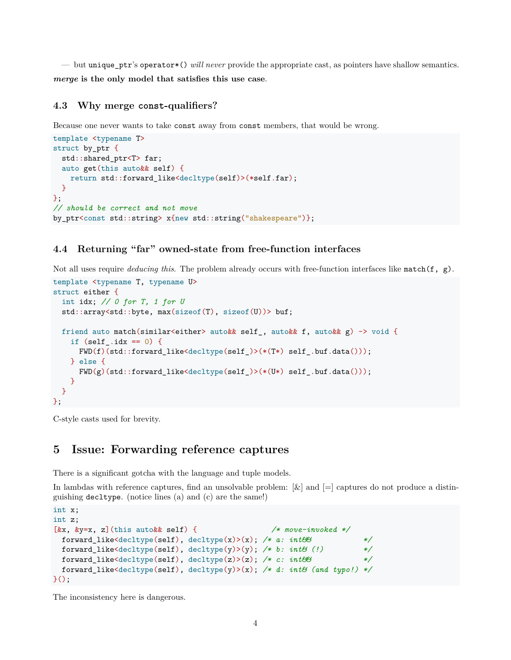— but unique\_ptr's operator\*() *will never* provide the appropriate cast, as pointers have shallow semantics. *merge* **is the only model that satisfies this use case**.

#### <span id="page-3-0"></span>**4.3 Why merge const-qualifiers?**

Because one never wants to take const away from const members, that would be wrong.

```
template <typename T>
struct by_ptr {
  std::shared ptr<T> far;
  auto get(this auto&& self) {
    return std::forward_like<decltype(self)>(*self.far);
  }
};
// should be correct and not move
by_ptr<const std::string> x{new std::string("shakespeare")};
```
#### <span id="page-3-1"></span>**4.4 Returning "far" owned-state from free-function interfaces**

Not all uses require *deducing this*. The problem already occurs with free-function interfaces like match(f, g).

```
template <typename T, typename U>
struct either {
  int idx; // 0 for T, 1 for U
  std::array<std::byte, max(sizeof(T), sizeof(U))> buf;
 friend auto match(similar<either> auto&& self_, auto&& f, auto&& g) -> void {
    if (self\_idx == 0) {
      FWD(f)(std::forward_like<decltype(self_)>(*(T*) self_.buf.data()));
    } else {
      FWD(g)(std::forward_like<decltype(self_)>(*(U*) self_.buf.data()));
    \mathbf{I}}
};
```
C-style casts used for brevity.

### <span id="page-3-2"></span>**5 Issue: Forwarding reference captures**

There is a significant gotcha with the language and tuple models.

In lambdas with reference captures, find an unsolvable problem:  $\lbrack \& \rbrack$  and  $\lbrack = \rbrack$  captures do not produce a distinguishing decltype. (notice lines (a) and (c) are the same!)

```
int x;
int z;
[&x, &y=x, z](this auto&& self) { /* move-invoked */
 forward_like<decltype(self), decltype(x)>(x); /* a: int&& */
 forward_like<decltype(self), decltype(y)>(y); /* b: int& (!) */
 forward_like<decltype(self), decltype(z)>(z); /* c: int&& */
 forward_like<decltype(self), decltype(y)>(x); /* d: int& (and typo!) */
\}();
```
The inconsistency here is dangerous.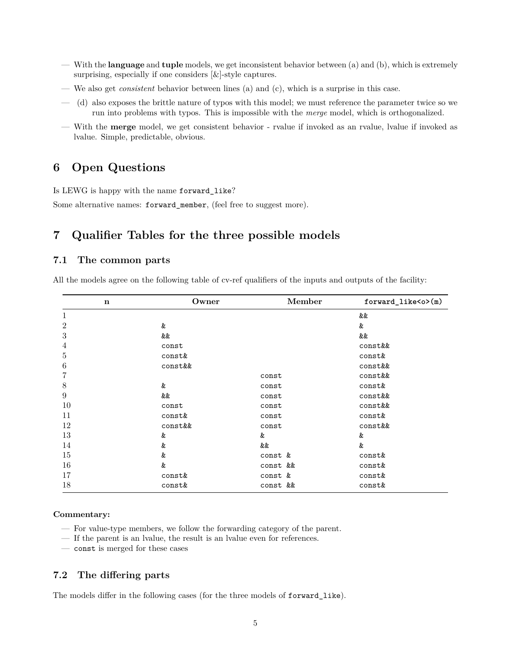- With the **language** and **tuple** models, we get inconsistent behavior between (a) and (b), which is extremely surprising, especially if one considers  $[\&]$ -style captures.
- We also get *consistent* behavior between lines (a) and (c), which is a surprise in this case.
- (d) also exposes the brittle nature of typos with this model; we must reference the parameter twice so we run into problems with typos. This is impossible with the *merge* model, which is orthogonalized.
- With the **merge** model, we get consistent behavior rvalue if invoked as an rvalue, lvalue if invoked as lvalue. Simple, predictable, obvious.

# <span id="page-4-0"></span>**6 Open Questions**

Is LEWG is happy with the name forward\_like?

Some alternative names: forward\_member, (feel free to suggest more).

## <span id="page-4-1"></span>**7 Qualifier Tables for the three possible models**

#### <span id="page-4-2"></span>**7.1 The common parts**

All the models agree on the following table of cv-ref qualifiers of the inputs and outputs of the facility:

| $\mathbf n$      | Owner   | Member   | forward_like <o>(m)</o> |
|------------------|---------|----------|-------------------------|
| $\mathbf{1}$     |         |          | &&                      |
| $\overline{2}$   | &       |          | &                       |
| $\sqrt{3}$       | &&      |          | &&                      |
| 4                | const   |          | const&&                 |
| $\mathbf 5$      | const&  |          | const&                  |
| $\,6$            | const&& |          | const&&                 |
| 7                |         | const    | const&&                 |
| 8                | &       | const    | const&                  |
| $\boldsymbol{9}$ | &&      | const    | const&&                 |
| 10               | const   | const    | const&&                 |
| 11               | const&  | const    | const&                  |
| 12               | const&& | const    | const&&                 |
| 13               | &       | &        | &                       |
| 14               | &       | &&       | &                       |
| 15               | &       | const &  | const&                  |
| 16               | &       | const && | const&                  |
| 17               | const&  | const &  | const&                  |
| 18               | const&  | const && | const&                  |

#### **Commentary:**

- For value-type members, we follow the forwarding category of the parent.
- If the parent is an lvalue, the result is an lvalue even for references.
- const is merged for these cases

#### <span id="page-4-3"></span>**7.2 The differing parts**

The models differ in the following cases (for the three models of forward\_like).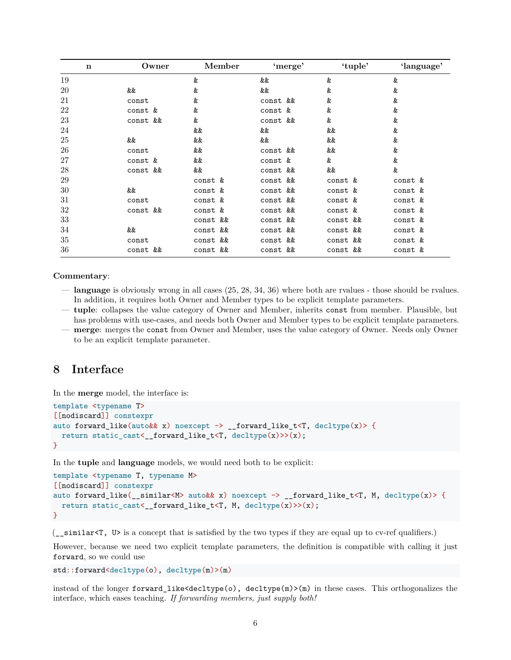| $\mathbf n$ | Owner    | Member   | 'merge'  | 'tuple'  | 'language' |
|-------------|----------|----------|----------|----------|------------|
| 19          |          | &        | &&       | &        | &          |
| 20          | &&       | &        | &&       | &        | &          |
| 21          | const    | &        | const && | &        | &          |
| 22          | const &  | &        | const &  | &        | &          |
| 23          | const && | &        | const && | &        | &          |
| 24          |          | &&       | &&       | &&       | &          |
| 25          | &&       | &&       | &&       | &&       | &          |
| 26          | const    | &&       | const && | &&       | &          |
| 27          | const &  | &&       | const &  | &        | &          |
| 28          | const && | &&       | const && | &&       | &          |
| 29          |          | const &  | const && | const &  | const &    |
| 30          | &&       | const &  | const && | const &  | const &    |
| 31          | const    | const &  | const && | const &  | const &    |
| 32          | const && | const &  | const && | const &  | const &    |
| 33          |          | const && | const && | const && | const &    |
| 34          | &&       | const && | const && | const && | const &    |
| 35          | const    | const && | const && | const && | const &    |
| 36          | const && | const && | const && | const && | const &    |

#### **Commentary**:

- **language** is obviously wrong in all cases (25, 28, 34, 36) where both are rvalues those should be rvalues. In addition, it requires both Owner and Member types to be explicit template parameters.
- **tuple**: collapses the value category of Owner and Member, inherits const from member. Plausible, but has problems with use-cases, and needs both Owner and Member types to be explicit template parameters. — **merge**: merges the const from Owner and Member, uses the value category of Owner. Needs only Owner
- to be an explicit template parameter.

### <span id="page-5-0"></span>**8 Interface**

In the **merge** model, the interface is:

```
template <typename T>
[[nodiscard]] constexpr
auto forward_like(auto&& x) noexcept -> __forward_like_t<T, decltype(x)> {
  return static_cast<__forward_like_t<T, decltype(x)>>(x);
}
```
In the **tuple** and **language** models, we would need both to be explicit:

```
template <typename T, typename M>
[[nodiscard]] constexpr
auto forward_like(__similar<M> auto&& x) noexcept -> __forward_like_t<T, M, decltype(x)> {
  return static_cast<__forward_like_t<T, M, decltype(x)>>(x);
}
```
(\_\_similar<T, U> is a concept that is satisfied by the two types if they are equal up to cv-ref qualifiers.)

However, because we need two explicit template parameters, the definition is compatible with calling it just forward, so we could use

std::forward<decltype(o), decltype(m)>(m)

instead of the longer forward\_like<decltype(o), decltype(m)>(m) in these cases. This orthogonalizes the interface, which eases teaching. *If forwarding members, just supply both!*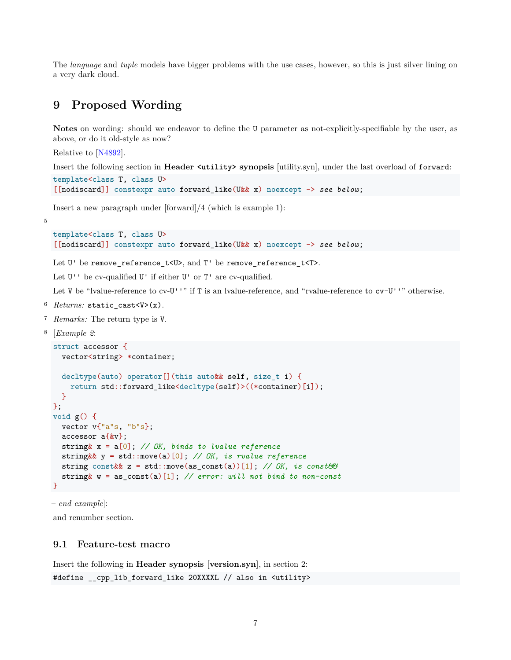The *language* and *tuple* models have bigger problems with the use cases, however, so this is just silver lining on a very dark cloud.

# <span id="page-6-0"></span>**9 Proposed Wording**

**Notes** on wording: should we endeavor to define the U parameter as not-explicitly-specifiable by the user, as above, or do it old-style as now?

Relative to [\[N4892\]](#page-11-2).

Insert the following section in **Header <utility> synopsis** [utility.syn], under the last overload of forward:

```
template<class T, class U>
[[nodiscard]] constexpr auto forward_like(U&& x) noexcept -> see below;
```
Insert a new paragraph under [forward]/4 (which is example 1):

5

```
template<class T, class U>
[[nodiscard]] constexpr auto forward_like(U&& x) noexcept -> see below;
```
Let U' be remove\_reference\_t<U>, and T' be remove\_reference\_t<T>.

Let  $U'$  be cv-qualified  $U'$  if either  $U'$  or  $T'$  are cv-qualified.

Let V be "lvalue-reference to cv-U''" if T is an lvalue-reference, and "rvalue-reference to  $cv-U'$ " otherwise.

- $6$  *Returns:* static\_cast<V>(x).
- <sup>7</sup> *Remarks:* The return type is V.

```
8 [Example 2:
```

```
struct accessor {
  vector<string> *container;
  decltype(auto) operator[](this auto&& self, size_t i) {
    return std::forward_like<decltype(self)>((*container)[i]);
  }
};
void g() {
  vector v{"a"s, "b"s};
  accessor a{&v};
 string& x = a[0]; // OK, binds to lvalue reference
  string&& y = std::move(a)[0]; // OK, is rvalue reference
  string const&& z = std::move(as_const(a))[1]; // OK, is const&&
  string& w = as_const(a)[1]; // error: will not bind to non-const
}
```
– *end example*]:

and renumber section.

#### <span id="page-6-1"></span>**9.1 Feature-test macro**

Insert the following in **Header synopsis [version.syn]**, in section 2: #define \_\_cpp\_lib\_forward\_like 20XXXXL // also in <utility>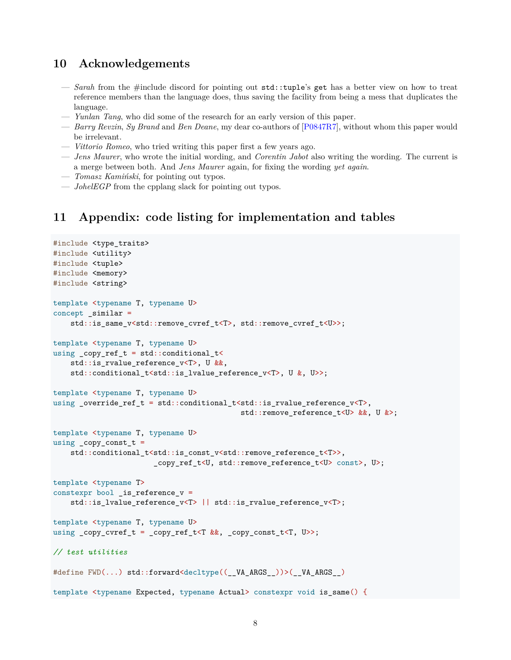## <span id="page-7-0"></span>**10 Acknowledgements**

- *Sarah* from the #include discord for pointing out std::tuple's get has a better view on how to treat reference members than the language does, thus saving the facility from being a mess that duplicates the language.
- *Yunlan Tang*, who did some of the research for an early version of this paper.
- *Barry Revzin*, *Sy Brand* and *Ben Deane*, my dear co-authors of [\[P0847R7](#page-11-1)], without whom this paper would be irrelevant.
- *Vittorio Romeo*, who tried writing this paper first a few years ago.
- *Jens Maurer*, who wrote the initial wording, and *Corentin Jabot* also writing the wording. The current is a merge between both. And *Jens Maurer* again, for fixing the wording *yet again*.
- *Tomasz Kamiński*, for pointing out typos.
- *JohelEGP* from the cpplang slack for pointing out typos.

### <span id="page-7-1"></span>**11 Appendix: code listing for implementation and tables**

```
#include <type_traits>
#include <utility>
#include <tuple>
#include <memory>
#include <string>
template <typename T, typename U>
concept _similar =
   std::is_same_v<std::remove_cvref_t<T>, std::remove_cvref_t<U>>;
template <typename T, typename U>
using _copy_ref_t = std::conditional_t<
   std:: is rvalue reference v<T>, U &&,
   std::conditional_t<std::is_lvalue_reference_v<T>, U &, U>>;
template <typename T, typename U>
using _override_ref_t = std::conditional_t<std::is_rvalue_reference_v<T>,
                                            std::remove_reference_t<U> &&, U &>;
template <typename T, typename U>
using _{\rm copy\_const\_t} =
   std::conditional_t<std::is_const_v<std::remove_reference_t<T>>,
                       _copy_ref_t<U, std::remove_reference_t<U> const>, U>;
template <typename T>
constexpr bool _is_reference_v =
   std::is_lvalue_reference_v<T> || std::is_rvalue_reference_v<T>;
template <typename T, typename U>
using _copy_cvref_t = _copy_ref_t<T &&, _copy_const_t<T, U>>;
// test utilities
#define FWD(...) std::forward<decltype((__VA_ARGS__))>(__VA_ARGS__)
template <typename Expected, typename Actual> constexpr void is_same() {
```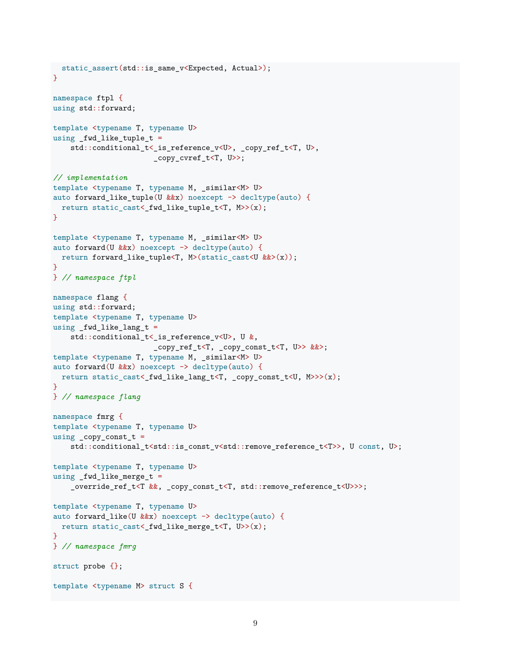```
static_assert(std::is_same_v<Expected, Actual>);
}
namespace ftpl {
using std::forward;
template <typename T, typename U>
using _fwd_like_tuple_t =
    std::conditional_t<_is_reference_v<U>, _copy_ref_t<T, U>,
                       _copy_cvref_t<T, U>>;
// implementation
template <typename T, typename M, _similar<M> U>
auto forward_like_tuple(U &&x) noexcept -> decltype(auto) {
 return static_cast<_fwd_like_tuple_t<T, M>>(x);
}
template <typename T, typename M, _similar<M> U>
auto forward(U &&x) noexcept -> decltype(auto) {
 return forward_like_tuple<T, M>(static_cast<U &&>(x));
}
} // namespace ftpl
namespace flang {
using std::forward;
template <typename T, typename U>
using fwd like lang t =std::conditional_t<_is_reference_v<U>, U &,
                       _copy_ref_t<T, _copy_const_t<T, U>> &&>;
template <typename T, typename M, _similar<M> U>
auto forward(U &&x) noexcept -> decltype(auto) {
 return static_cast<_fwd_like_lang_t<T, _copy_const_t<U, M>>>(x);
}
} // namespace flang
namespace fmrg {
template <typename T, typename U>
using _{\text{copy} \text{-} \text{const}\_t =std::conditional_t<std::is_const_v<std::remove_reference_t<T>>, U const, U>;
template <typename T, typename U>
using _fwd_like_merge_t =_override_ref_t<T &&, _copy_const_t<T, std::remove_reference_t<U>>>;
template <typename T, typename U>
auto forward_like(U &&x) noexcept -> decltype(auto) {
 return static_cast<_fwd_like_merge_t<T, U>>(x);
}
} // namespace fmrg
struct probe {};
template <typename M> struct S {
```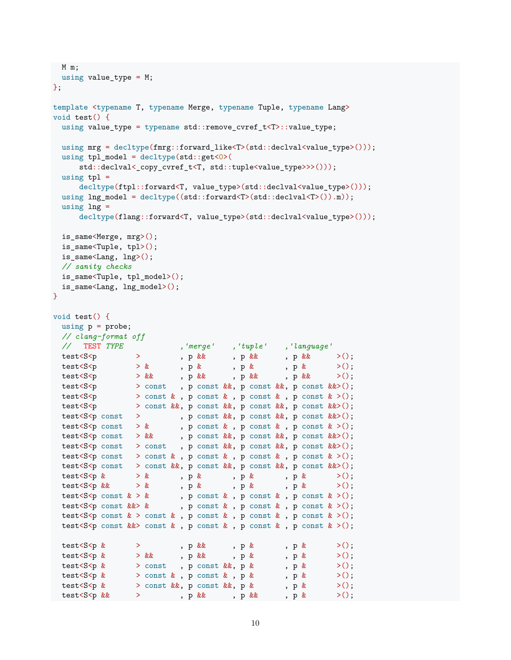```
M m;
using value_type = M;
};
template <typename T, typename Merge, typename Tuple, typename Lang>
void test() {
  using value_type = typename std::remove_cvref_t<T>::value_type;
  using mrg = \text{dedtype}(fmrg::forward\_like < T>(std::declval < value\_type>))));
  using tpl model = decltype(std::get < 0)(
       std::declval< copy_cvref_t<T, std::tuple<value_type>>>()));
  using tpl =decltype(ftpl::forward<T, value type>(std::declval<br/><value type>()));
  using lng_model = decltype((std::forward<T>(std::declval<T>()).m));
  using ln g =decltype(flang::forward<T, value type>(std::declval<value type>()));
  is_same<Merge, mrg>();
  is_same<Tuple, tpl>();
  is_same<Lang, lng>();
  // sanity checks
  is_same<Tuple, tpl_model>();
  is_same<Lang, lng_model>();
}
void test() {
  using p = probe;// clang-format off
  // TEST TYPE ,'merge' ,'tuple' ,'language'
  test<S<p > , p && , p && , p && >();<br>test<S<p > & , p & , p & , p & >();
  \texttt{test} \verb+< S \verb+<p \hspace*{1.5ex} > \hspace*{1.5ex} \& \hspace*{1.5ex} \texttt{, p} \hspace*{1.5ex} \& \hspace*{1.5ex} \texttt{, p} \hspace*{1.5ex} \& \hspace*{1.5ex} \texttt{, p} \hspace*{1.5ex} \& \hspace*{1.5ex} \texttt{>}();test<S<p > \& \Rightarrow x \& 1, p && , p && , p && >();
  \texttt{test} \verb!< S \verb!< p \texttt{const} \texttt{, p const} \&amp; p \texttt{const} \&amp; p \texttt{const} \&amp; \verb!k| \texttt{, p const} \&amp; \verb!k| \texttt{, p const} \&amp; \verb!k| \texttt{, p const} \&amp; \verb!k| \texttt{, p const} \&amp; \verb!k| \texttt{, p const} \&amp; \verb!k| \texttt{, p const} \&amp; \verb!k| \texttt{, p const} \&amp; \verb!k| \texttt{, p const} \&amp; \verb!k| \texttt{, p const} \&amp; \verb!k| \texttt{, ptest<S<p > const & , p const & , p const & , p const & >();
  test<S<p > const &&, p const &&, p const &&, p const &&>();
  test<S<p const > , p const &&, p const &&, p const &&>();
  test<S<p const > & , p const & , p const & , p const & >();
  test<S<p const > && , p const &&, p const &&, p const &&>();
  test<S<p const > const , p const &&, p const &&, p const &&>();
  test<S<p const > const & , p const & , p const & , p const & >();
  test<S<p const > const &&, p const &&, p const &&, p const &&>();
  test<S<p & > & , p & , p & , p & >();
  test<br><S<p\&\quad\quad\,>\,k\qquad\qquad\,,\,\,{\rm p}\,\,\&\qquad\quad\,,\,\,{\rm p}\,\,\&\qquad\quad\,,\,\,{\rm p}\,\,\&\qquad\quad\,>\,(\,)\,\,;test<S<p const k > k, p const k, p const k, p const k > (;
  test S \lt p const \&\gt \& , p const \& , p const \& , p const \& , p const \& >();
  test<S<p const k > const k, p const k, p const k > ();
  test<S<p const \&\gt; const \&, p const \&, p const \&, p const \>();
  test<br><S<p & > , p & , p & , p & >();
  test<S<p & > && , p & , p & , p & >();
  test<S<p & > const , p const &&, p & , p & >();
  test<S<p & > const & , p const & , p & >();
  test <S <p & > const &&, p const &&, p & , p & >();
 test<S<p && > , p && , p & x();
```

```
10
```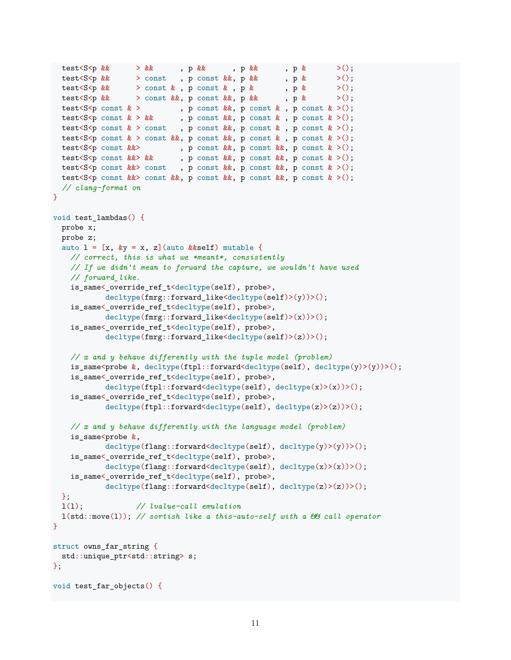```
test<S<p && > && , p && , p && , p & >();
  test<S<p && > const , p const &&, p && , p & >();
  test<S<p && > const & , p const & , p & >();
 test<S<p && > const &&, p const &&, p &&, p & >();
 test<S<p const \>, p const \& k, p const \&, p const \& >();
  test<S<p const k > k , p const k, p const k, p const k > 0;
  test<S<p const k > const, p const k k, p const k > 0;
 test<S<p const \> const \&, p const \&, p const \&, p const \& >();
 test<S<p const &&>
, p const &&, p const &&, p const & >();
  test<S<p const &&> && , p const &&, p const &&, p const & >();
  test<S<p const &&> const , p const &&, p const &&, p const & >();
 test<S<p const \&\& const \&\&, p const \&\&, p const \&, p const \& >();
 // clang-format on
\mathbf{I}void test_lambdas() {
 probe x;
 probe z;
  auto l = [x, ky = x, z] (auto &&self) mutable {
   // correct, this is what we *meant*, consistently
   // If we didn't mean to forward the capture, we wouldn't have used
   // forward_like.
   is_same<_override_ref_t<decltype(self), probe>,
           decltype(fmrg::forward_like<decltype(self)>(y))>();
   is_same<_override_ref_t<decltype(self), probe>,
           decltype(fmrg::forward_like<decltype(self)>(x))>();
   is_same<_override_ref_t<decltype(self), probe>,
           decltype(fmrg::forward_like<decltype(self)>(z))>();
   // x and y behave differently with the tuple model (problem)
   is_same<probe &, decltype(ftpl::forward<decltype(self), decltype(y)>(y))>();
   is_same<_override_ref_t<decltype(self), probe>,
           decltype(ftpl::forward<decltype(self), decltype(x)>(x))>();
   is_same<_override_ref_t<decltype(self), probe>,
           decltype(ftpl::forward<decltype(self), decltype(z)>(z))>();
   // x and y behave differently with the language model (problem)
   is same<probe &,
           decltype(flang::forward<decltype(self), decltype(y)>(y))>();
   is_same<_override_ref_t<decltype(self), probe>,
           decltype(flang::forward<decltype(self), decltype(x)>(x))>();
   is_same<_override_ref_t<decltype(self), probe>,
           decltype(flang::forward<decltype(self), decltype(z)>(z))>();
 };
 l(l); // lvalue-call emulation
 l(std::move(l)); // sortish like a this-auto-self with a && call operator
\mathbf{I}struct owns_far_string {
std::unique ptr<std::string> s;
};
void test_far_objects() {
```